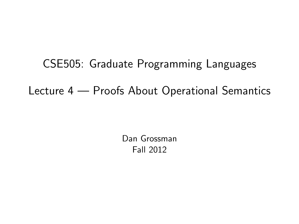CSE505: Graduate Programming Languages Lecture 4 — Proofs About Operational Semantics

> <span id="page-0-0"></span>Dan Grossman Fall 2012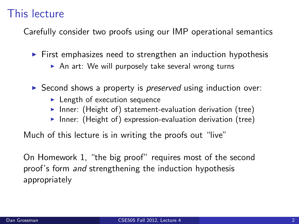## This lecture

Carefully consider two proofs using our IMP operational semantics

- $\triangleright$  First emphasizes need to strengthen an induction hypothesis
	- $\triangleright$  An art: We will purposely take several wrong turns
- $\triangleright$  Second shows a property is *preserved* using induction over:
	- $\blacktriangleright$  Length of execution sequence
	- Inner: (Height of) statement-evaluation derivation (tree)
	- Inner: (Height of) expression-evaluation derivation (tree)

Much of this lecture is in writing the proofs out "live"

On Homework 1, "the big proof" requires most of the second proof's form and strengthening the induction hypothesis appropriately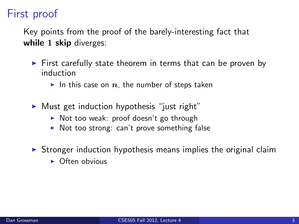## First proof

Key points from the proof of the barely-interesting fact that while 1 skip diverges:

- $\triangleright$  First carefully state theorem in terms that can be proven by induction
	- In this case on  $n$ , the number of steps taken
- $\triangleright$  Must get induction hypothesis "just right"
	- $\triangleright$  Not too weak: proof doesn't go through
	- $\triangleright$  Not too strong: can't prove something false
- $\triangleright$  Stronger induction hypothesis means implies the original claim
	- $\triangleright$  Often obvious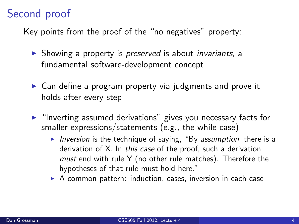## Second proof

Key points from the proof of the "no negatives" property:

- $\triangleright$  Showing a property is *preserved* is about *invariants*, a fundamental software-development concept
- $\triangleright$  Can define a program property via judgments and prove it holds after every step
- $\blacktriangleright$  "Inverting assumed derivations" gives you necessary facts for smaller expressions/statements (e.g., the while case)
	- Inversion is the technique of saying, "By assumption, there is a derivation of X. In this case of the proof, such a derivation must end with rule Y (no other rule matches). Therefore the hypotheses of that rule must hold here."
	- $\triangleright$  A common pattern: induction, cases, inversion in each case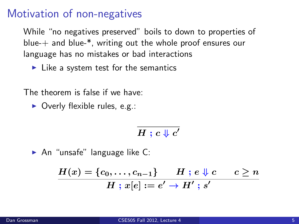## Motivation of non-negatives

While "no negatives preserved" boils to down to properties of blue- $+$  and blue- $*$ , writing out the whole proof ensures our language has no mistakes or bad interactions

 $\blacktriangleright$  Like a system test for the semantics

The theorem is false if we have:

 $\triangleright$  Overly flexible rules, e.g.:

 $H$  ;  $c\Downarrow c'$ 

 $\blacktriangleright$  An "unsafe" language like C:

$$
\frac{H(x)=\{c_0,\ldots,c_{n-1}\}\qquad H\ ;\ e\Downarrow c\qquad c\geq n}{H\ ;\ x[e]:=e'\rightarrow H'\ ;\ s'}
$$